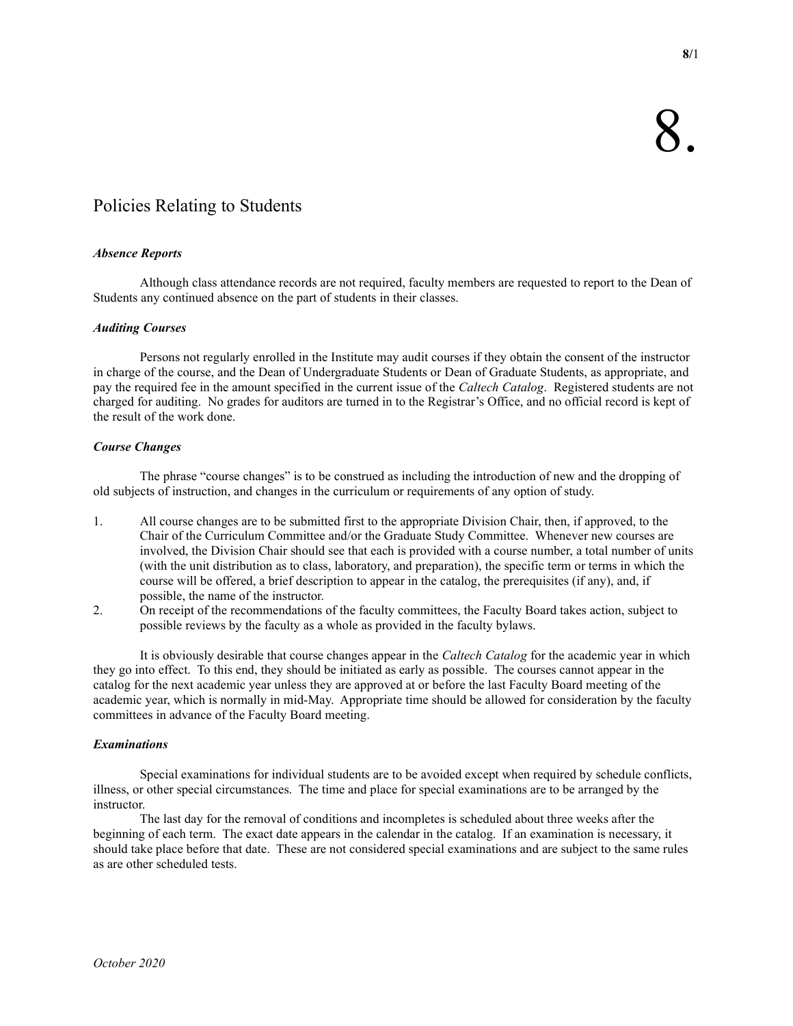# Policies Relating to Students

# Absence Reports

 Although class attendance records are not required, faculty members are requested to report to the Dean of Students any continued absence on the part of students in their classes.

# Auditing Courses

 Persons not regularly enrolled in the Institute may audit courses if they obtain the consent of the instructor in charge of the course, and the Dean of Undergraduate Students or Dean of Graduate Students, as appropriate, and pay the required fee in the amount specified in the current issue of the Caltech Catalog. Registered students are not charged for auditing. No grades for auditors are turned in to the Registrar's Office, and no official record is kept of the result of the work done.

# Course Changes

 The phrase "course changes" is to be construed as including the introduction of new and the dropping of old subjects of instruction, and changes in the curriculum or requirements of any option of study.

- 1. All course changes are to be submitted first to the appropriate Division Chair, then, if approved, to the Chair of the Curriculum Committee and/or the Graduate Study Committee. Whenever new courses are involved, the Division Chair should see that each is provided with a course number, a total number of units (with the unit distribution as to class, laboratory, and preparation), the specific term or terms in which the course will be offered, a brief description to appear in the catalog, the prerequisites (if any), and, if possible, the name of the instructor.
- 2. On receipt of the recommendations of the faculty committees, the Faculty Board takes action, subject to possible reviews by the faculty as a whole as provided in the faculty bylaws.

It is obviously desirable that course changes appear in the *Caltech Catalog* for the academic year in which they go into effect. To this end, they should be initiated as early as possible. The courses cannot appear in the catalog for the next academic year unless they are approved at or before the last Faculty Board meeting of the academic year, which is normally in mid-May. Appropriate time should be allowed for consideration by the faculty committees in advance of the Faculty Board meeting.

# Examinations

 Special examinations for individual students are to be avoided except when required by schedule conflicts, illness, or other special circumstances. The time and place for special examinations are to be arranged by the instructor.

 The last day for the removal of conditions and incompletes is scheduled about three weeks after the beginning of each term. The exact date appears in the calendar in the catalog. If an examination is necessary, it should take place before that date. These are not considered special examinations and are subject to the same rules as are other scheduled tests.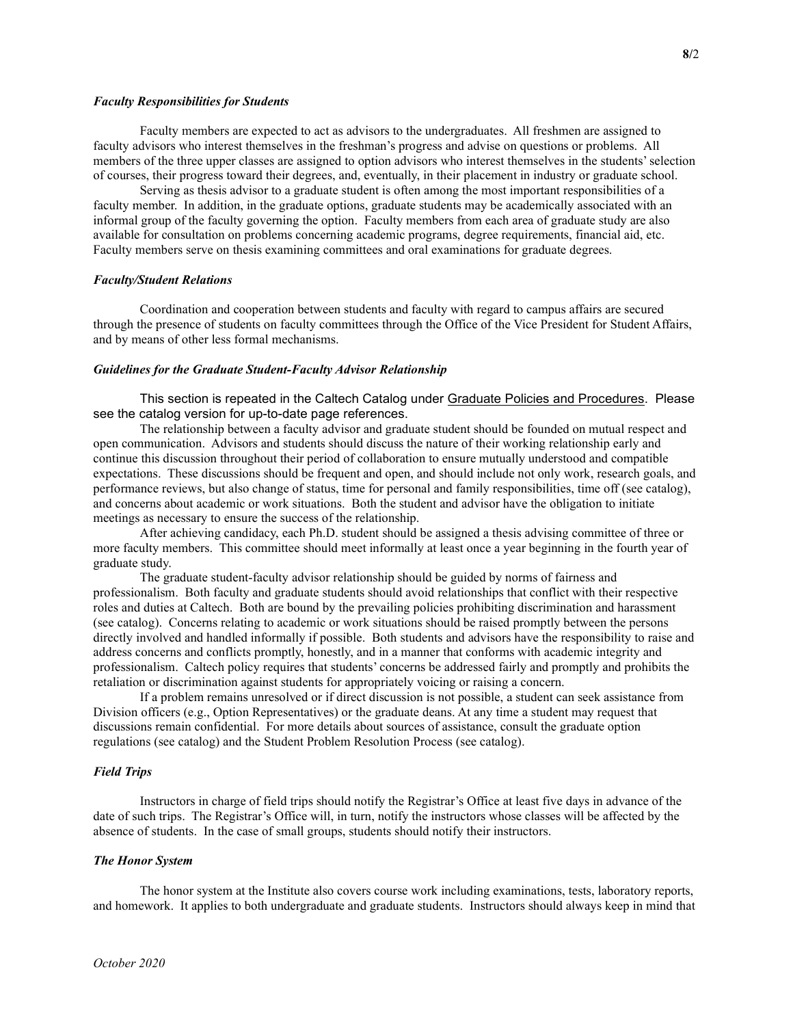#### Faculty Responsibilities for Students

 Faculty members are expected to act as advisors to the undergraduates. All freshmen are assigned to faculty advisors who interest themselves in the freshman's progress and advise on questions or problems. All members of the three upper classes are assigned to option advisors who interest themselves in the students' selection of courses, their progress toward their degrees, and, eventually, in their placement in industry or graduate school.

 Serving as thesis advisor to a graduate student is often among the most important responsibilities of a faculty member. In addition, in the graduate options, graduate students may be academically associated with an informal group of the faculty governing the option. Faculty members from each area of graduate study are also available for consultation on problems concerning academic programs, degree requirements, financial aid, etc. Faculty members serve on thesis examining committees and oral examinations for graduate degrees.

#### Faculty/Student Relations

 Coordination and cooperation between students and faculty with regard to campus affairs are secured through the presence of students on faculty committees through the Office of the Vice President for Student Affairs, and by means of other less formal mechanisms.

#### Guidelines for the Graduate Student-Faculty Advisor Relationship

 This section is repeated in the Caltech Catalog under Graduate Policies and Procedures. Please see the catalog version for up-to-date page references.

 The relationship between a faculty advisor and graduate student should be founded on mutual respect and open communication. Advisors and students should discuss the nature of their working relationship early and continue this discussion throughout their period of collaboration to ensure mutually understood and compatible expectations. These discussions should be frequent and open, and should include not only work, research goals, and performance reviews, but also change of status, time for personal and family responsibilities, time off (see catalog), and concerns about academic or work situations. Both the student and advisor have the obligation to initiate meetings as necessary to ensure the success of the relationship.

 After achieving candidacy, each Ph.D. student should be assigned a thesis advising committee of three or more faculty members. This committee should meet informally at least once a year beginning in the fourth year of graduate study.

 The graduate student-faculty advisor relationship should be guided by norms of fairness and professionalism. Both faculty and graduate students should avoid relationships that conflict with their respective roles and duties at Caltech. Both are bound by the prevailing policies prohibiting discrimination and harassment (see catalog). Concerns relating to academic or work situations should be raised promptly between the persons directly involved and handled informally if possible. Both students and advisors have the responsibility to raise and address concerns and conflicts promptly, honestly, and in a manner that conforms with academic integrity and professionalism. Caltech policy requires that students' concerns be addressed fairly and promptly and prohibits the retaliation or discrimination against students for appropriately voicing or raising a concern.

 If a problem remains unresolved or if direct discussion is not possible, a student can seek assistance from Division officers (e.g., Option Representatives) or the graduate deans. At any time a student may request that discussions remain confidential. For more details about sources of assistance, consult the graduate option regulations (see catalog) and the Student Problem Resolution Process (see catalog).

## Field Trips

 Instructors in charge of field trips should notify the Registrar's Office at least five days in advance of the date of such trips. The Registrar's Office will, in turn, notify the instructors whose classes will be affected by the absence of students. In the case of small groups, students should notify their instructors.

#### The Honor System

 The honor system at the Institute also covers course work including examinations, tests, laboratory reports, and homework. It applies to both undergraduate and graduate students. Instructors should always keep in mind that